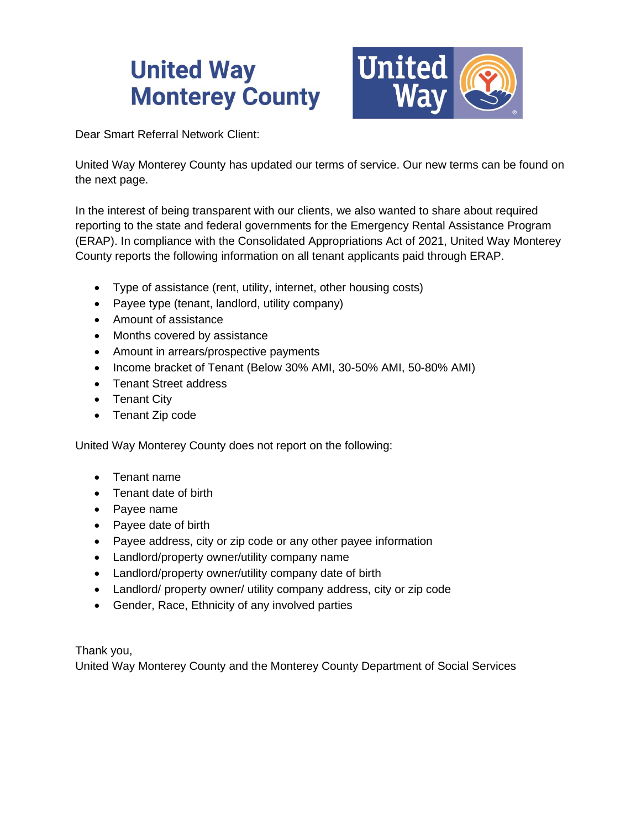

Dear Smart Referral Network Client:

United Way Monterey County has updated our terms of service. Our new terms can be found on the next page.

In the interest of being transparent with our clients, we also wanted to share about required reporting to the state and federal governments for the Emergency Rental Assistance Program (ERAP). In compliance with the Consolidated Appropriations Act of 2021, United Way Monterey County reports the following information on all tenant applicants paid through ERAP.

- Type of assistance (rent, utility, internet, other housing costs)
- Payee type (tenant, landlord, utility company)
- Amount of assistance
- Months covered by assistance
- Amount in arrears/prospective payments
- Income bracket of Tenant (Below 30% AMI, 30-50% AMI, 50-80% AMI)
- Tenant Street address
- Tenant City
- Tenant Zip code

United Way Monterey County does not report on the following:

- Tenant name
- Tenant date of birth
- Payee name
- Payee date of birth
- Payee address, city or zip code or any other payee information
- Landlord/property owner/utility company name
- Landlord/property owner/utility company date of birth
- Landlord/ property owner/ utility company address, city or zip code
- Gender, Race, Ethnicity of any involved parties

Thank you,

United Way Monterey County and the Monterey County Department of Social Services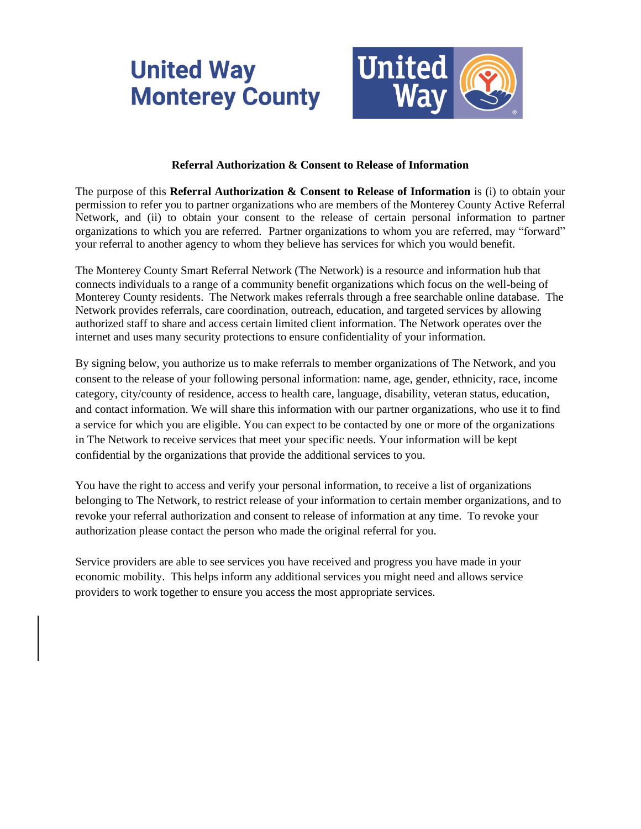

#### **Referral Authorization & Consent to Release of Information**

The purpose of this **Referral Authorization & Consent to Release of Information** is (i) to obtain your permission to refer you to partner organizations who are members of the Monterey County Active Referral Network, and (ii) to obtain your consent to the release of certain personal information to partner organizations to which you are referred. Partner organizations to whom you are referred, may "forward" your referral to another agency to whom they believe has services for which you would benefit.

The Monterey County Smart Referral Network (The Network) is a resource and information hub that connects individuals to a range of a community benefit organizations which focus on the well-being of Monterey County residents. The Network makes referrals through a free searchable online database. The Network provides referrals, care coordination, outreach, education, and targeted services by allowing authorized staff to share and access certain limited client information. The Network operates over the internet and uses many security protections to ensure confidentiality of your information.

By signing below, you authorize us to make referrals to member organizations of The Network, and you consent to the release of your following personal information: name, age, gender, ethnicity, race, income category, city/county of residence, access to health care, language, disability, veteran status, education, and contact information. We will share this information with our partner organizations, who use it to find a service for which you are eligible. You can expect to be contacted by one or more of the organizations in The Network to receive services that meet your specific needs. Your information will be kept confidential by the organizations that provide the additional services to you.

You have the right to access and verify your personal information, to receive a list of organizations belonging to The Network, to restrict release of your information to certain member organizations, and to revoke your referral authorization and consent to release of information at any time. To revoke your authorization please contact the person who made the original referral for you.

Service providers are able to see services you have received and progress you have made in your economic mobility. This helps inform any additional services you might need and allows service providers to work together to ensure you access the most appropriate services.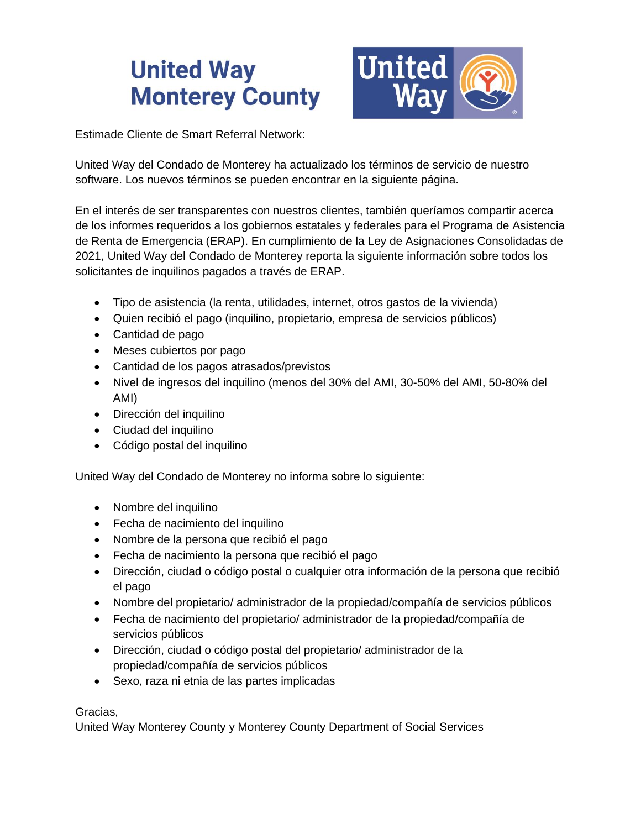

Estimade Cliente de Smart Referral Network:

United Way del Condado de Monterey ha actualizado los términos de servicio de nuestro software. Los nuevos términos se pueden encontrar en la siguiente página.

En el interés de ser transparentes con nuestros clientes, también queríamos compartir acerca de los informes requeridos a los gobiernos estatales y federales para el Programa de Asistencia de Renta de Emergencia (ERAP). En cumplimiento de la Ley de Asignaciones Consolidadas de 2021, United Way del Condado de Monterey reporta la siguiente información sobre todos los solicitantes de inquilinos pagados a través de ERAP.

- Tipo de asistencia (la renta, utilidades, internet, otros gastos de la vivienda)
- Quien recibió el pago (inquilino, propietario, empresa de servicios públicos)
- Cantidad de pago
- Meses cubiertos por pago
- Cantidad de los pagos atrasados/previstos
- Nivel de ingresos del inquilino (menos del 30% del AMI, 30-50% del AMI, 50-80% del AMI)
- Dirección del inquilino
- Ciudad del inquilino
- Código postal del inquilino

United Way del Condado de Monterey no informa sobre lo siguiente:

- Nombre del inquilino
- Fecha de nacimiento del inquilino
- Nombre de la persona que recibió el pago
- Fecha de nacimiento la persona que recibió el pago
- Dirección, ciudad o código postal o cualquier otra información de la persona que recibió el pago
- Nombre del propietario/ administrador de la propiedad/compañía de servicios públicos
- Fecha de nacimiento del propietario/ administrador de la propiedad/compañía de servicios públicos
- Dirección, ciudad o código postal del propietario/ administrador de la propiedad/compañía de servicios públicos
- Sexo, raza ni etnia de las partes implicadas

#### Gracias,

United Way Monterey County y Monterey County Department of Social Services